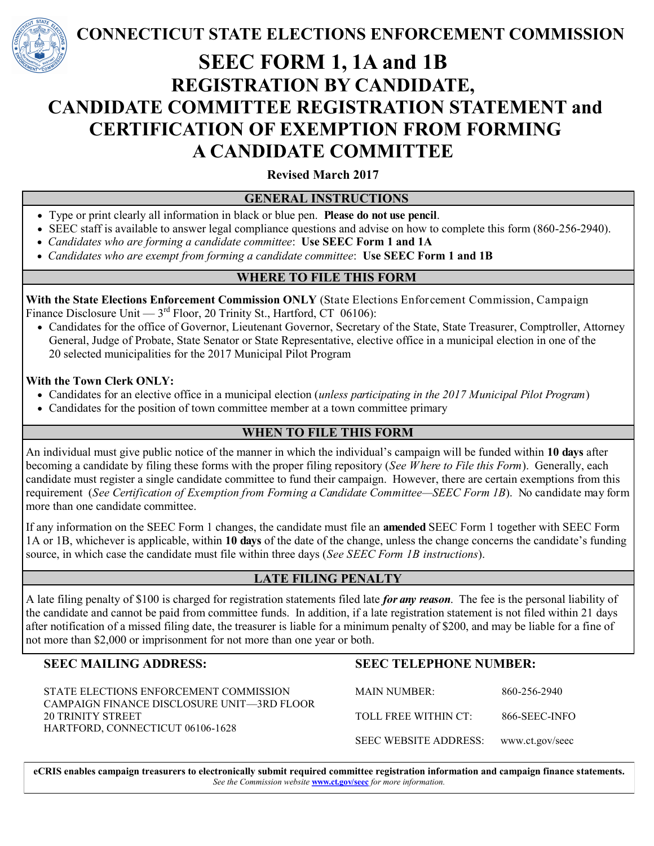

**CONNECTICUT STATE ELECTIONS ENFORCEMENT COMMISSION**

# **SEEC FORM 1, 1A and 1B REGISTRATION BY CANDIDATE, CANDIDATE COMMITTEE REGISTRATION STATEMENT and CERTIFICATION OF EXEMPTION FROM FORMING A CANDIDATE COMMITTEE**

**Revised March 2017**

#### **GENERAL INSTRUCTIONS**

- Type or print clearly all information in black or blue pen. **Please do not use pencil**.
- SEEC staff is available to answer legal compliance questions and advise on how to complete this form (860-256-2940).
- *Candidates who are forming a candidate committee*:**Use SEEC Form 1 and 1A**
- *Candidates who are exempt from forming a candidate committee*:**Use SEEC Form 1 and 1B**

## **WHERE TO FILE THIS FORM**

**With the State Elections Enforcement Commission ONLY** (State Elections Enforcement Commission, Campaign Finance Disclosure Unit —  $3<sup>rd</sup>$  Floor, 20 Trinity St., Hartford, CT 06106):

 Candidates for the office of Governor, Lieutenant Governor, Secretary of the State, State Treasurer, Comptroller, Attorney General, Judge of Probate, State Senator or State Representative, elective office in a municipal election in one of the 20 selected municipalities for the 2017 Municipal Pilot Program

#### **With the Town Clerk ONLY:**

- Candidates for an elective office in a municipal election (*unless participating in the 2017 Municipal Pilot Program*)
- Candidates for the position of town committee member at a town committee primary

### **WHEN TO FILE THIS FORM**

An individual must give public notice of the manner in which the individual's campaign will be funded within **10 days** after becoming a candidate by filing these forms with the proper filing repository (*See Where to File this Form*). Generally, each candidate must register a single candidate committee to fund their campaign. However, there are certain exemptions from this requirement (*See Certification of Exemption from Forming a Candidate Committee—SEEC Form 1B*). No candidate may form more than one candidate committee.

If any information on the SEEC Form 1 changes, the candidate must file an **amended** SEEC Form 1 together with SEEC Form 1A or 1B, whichever is applicable, within **10 days** of the date of the change, unless the change concerns the candidate's funding source, in which case the candidate must file within three days (*See SEEC Form 1B instructions*).

# **LATE FILING PENALTY**

A late filing penalty of \$100 is charged for registration statements filed late *for any reason*. The fee is the personal liability of the candidate and cannot be paid from committee funds. In addition, if a late registration statement is not filed within 21 days after notification of a missed filing date, the treasurer is liable for a minimum penalty of \$200, and may be liable for a fine of not more than \$2,000 or imprisonment for not more than one year or both.

### **SEEC MAILING ADDRESS:**

STATE ELECTIONS ENFORCEMENT COMMISSION CAMPAIGN FINANCE DISCLOSURE UNIT—3RD FLOOR 20 TRINITY STREET HARTFORD, CONNECTICUT 06106-1628

### **SEEC TELEPHONE NUMBER:**

MAIN NUMBER: 860-256-2940 TOLL FREE WITHIN CT: 866-SEEC-INFO SEEC WEBSITE ADDRESS: www.ct.gov/seec

**eCRIS enables campaign treasurers to electronically submit required committee registration information and campaign finance statements.**  *See the Commission website* **www.ct.gov/seec** *for more information.*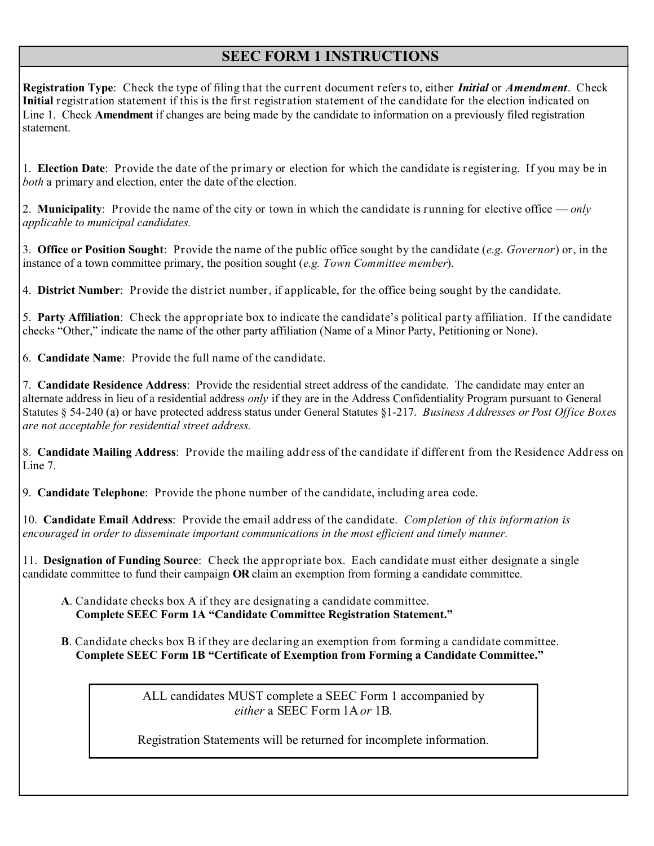# **SEEC FORM 1 INSTRUCTIONS**

**Registration Type**: Check the type of filing that the current document refers to, either *Initial* or *Amendment*. Check **Initial** registration statement if this is the first registration statement of the candidate for the election indicated on Line 1. Check **Amendment** if changes are being made by the candidate to information on a previously filed registration statement.

1. **Election Date**: Provide the date of the primary or election for which the candidate is registering. If you may be in *both* a primary and election, enter the date of the election.

2. **Municipality**: Provide the name of the city or town in which the candidate is running for elective office — *only applicable to municipal candidates.*

3. **Office or Position Sought**: Provide the name of the public office sought by the candidate (*e.g. Governor*) or, in the instance of a town committee primary, the position sought (*e.g. Town Committee member*).

4. **District Number**: Provide the district number, if applicable, for the office being sought by the candidate.

5. **Party Affiliation**: Check the appropriate box to indicate the candidate's political party affiliation. If the candidate checks "Other," indicate the name of the other party affiliation (Name of a Minor Party, Petitioning or None).

6. **Candidate Name**: Provide the full name of the candidate.

7. **Candidate Residence Address**:Provide the residential street address of the candidate. The candidate may enter an alternate address in lieu of a residential address *only* if they are in the Address Confidentiality Program pursuant to General Statutes § 54-240 (a) or have protected address status under General Statutes §1-217. *Business Addresses or Post Office Boxes are not acceptable for residential street address.*

8. **Candidate Mailing Address**: Provide the mailing address of the candidate if different from the Residence Address on Line 7.

9. **Candidate Telephone**: Provide the phone number of the candidate, including area code.

10. **Candidate Email Address**: Provide the email address of the candidate. *Completion of this information is encouraged in order to disseminate important communications in the most efficient and timely manner.* 

11. **Designation of Funding Source**: Check the appropriate box. Each candidate must either designate a single candidate committee to fund their campaign **OR** claim an exemption from forming a candidate committee.

- **A**. Candidate checks box A if they are designating a candidate committee. **Complete SEEC Form 1A "Candidate Committee Registration Statement."**
- **B**. Candidate checks box B if they are declaring an exemption from forming a candidate committee. **Complete SEEC Form 1B "Certificate of Exemption from Forming a Candidate Committee."**

ALL candidates MUST complete a SEEC Form 1 accompanied by *either* a SEEC Form 1A *or* 1B.

Registration Statements will be returned for incomplete information.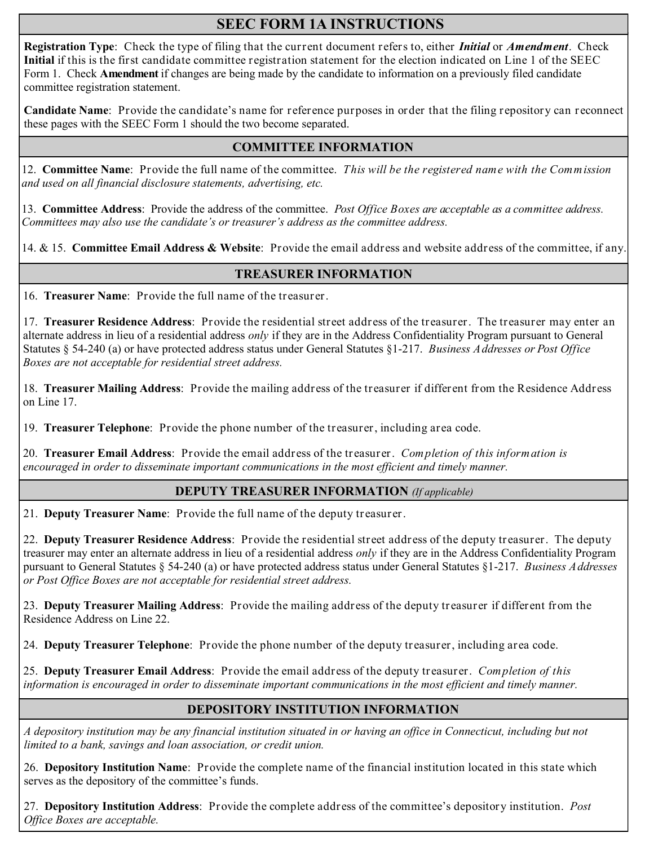# **SEEC FORM 1A INSTRUCTIONS**

**Registration Type**: Check the type of filing that the current document refers to, either *Initial* or *Amendment*. Check **Initial** if this is the first candidate committee registration statement for the election indicated on Line 1 of the SEEC Form 1. Check **Amendment** if changes are being made by the candidate to information on a previously filed candidate committee registration statement.

**Candidate Name**: Provide the candidate's name for reference purposes in order that the filing repository can reconnect these pages with the SEEC Form 1 should the two become separated.

#### **COMMITTEE INFORMATION**

12. **Committee Name**: Provide the full name of the committee. *This will be the registered name with the Commission and used on all financial disclosure statements, advertising, etc.* 

13. **Committee Address**:Provide the address of the committee. *Post Office Boxes are acceptable as a committee address. Committees may also use the candidate's or treasurer's address as the committee address.*

14. & 15. **Committee Email Address & Website**: Provide the email address and website address of the committee, if any.

#### **TREASURER INFORMATION**

16. **Treasurer Name**: Provide the full name of the treasurer.

17. **Treasurer Residence Address**: Provide the residential street address of the treasurer. The treasurer may enter an alternate address in lieu of a residential address *only* if they are in the Address Confidentiality Program pursuant to General Statutes § 54-240 (a) or have protected address status under General Statutes §1-217. *Business Addresses or Post Office Boxes are not acceptable for residential street address.*

18. **Treasurer Mailing Address**: Provide the mailing address of the treasurer if different from the Residence Address on Line 17.

19. **Treasurer Telephone**: Provide the phone number of the treasurer, including area code.

20. **Treasurer Email Address**: Provide the email address of the treasurer. *Completion of this information is encouraged in order to disseminate important communications in the most efficient and timely manner.* 

#### **DEPUTY TREASURER INFORMATION** *(If applicable)*

21. **Deputy Treasurer Name**: Provide the full name of the deputy treasurer.

22. **Deputy Treasurer Residence Address**: Provide the residential street address of the deputy treasurer. The deputy treasurer may enter an alternate address in lieu of a residential address *only* if they are in the Address Confidentiality Program pursuant to General Statutes § 54-240 (a) or have protected address status under General Statutes §1-217. *Business Addresses or Post Office Boxes are not acceptable for residential street address.*

23. **Deputy Treasurer Mailing Address**: Provide the mailing address of the deputy treasurer if different from the Residence Address on Line 22.

24. **Deputy Treasurer Telephone**: Provide the phone number of the deputy treasurer, including area code.

25. **Deputy Treasurer Email Address**: Provide the email address of the deputy treasurer. *Completion of this information is encouraged in order to disseminate important communications in the most efficient and timely manner.*

#### **DEPOSITORY INSTITUTION INFORMATION**

*A depository institution may be any financial institution situated in or having an office in Connecticut, including but not limited to a bank, savings and loan association, or credit union.* 

26. **Depository Institution Name**: Provide the complete name of the financial institution located in this state which serves as the depository of the committee's funds.

27. **Depository Institution Address**: Provide the complete address of the committee's depository institution. *Post Office Boxes are acceptable.*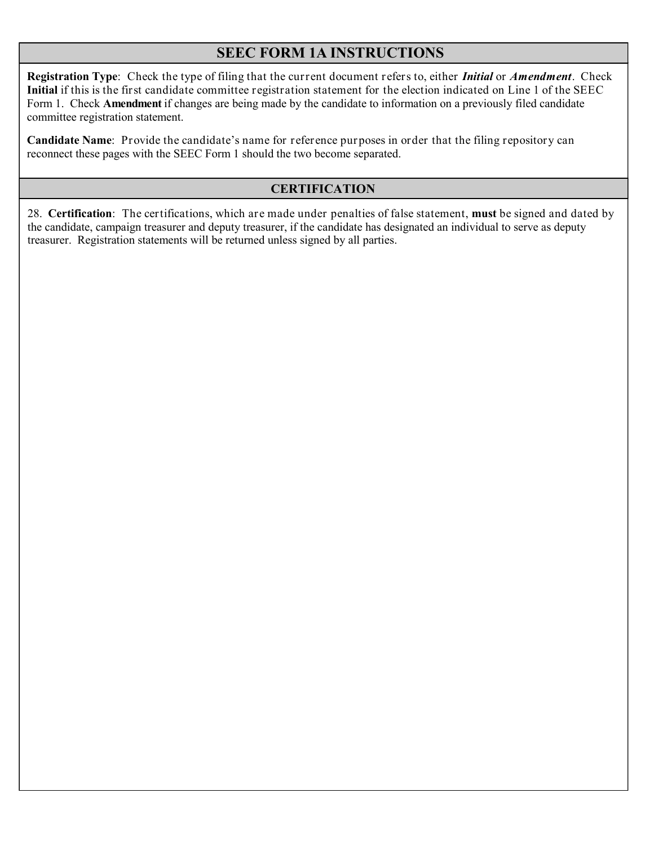# **SEEC FORM 1A INSTRUCTIONS**

**Registration Type**: Check the type of filing that the current document refers to, either *Initial* or *Amendment*. Check **Initial** if this is the first candidate committee registration statement for the election indicated on Line 1 of the SEEC Form 1. Check **Amendment** if changes are being made by the candidate to information on a previously filed candidate committee registration statement.

**Candidate Name**: Provide the candidate's name for reference purposes in order that the filing repository can reconnect these pages with the SEEC Form 1 should the two become separated.

### **CERTIFICATION**

28. **Certification**: The certifications, which are made under penalties of false statement, **must** be signed and dated by the candidate, campaign treasurer and deputy treasurer, if the candidate has designated an individual to serve as deputy treasurer. Registration statements will be returned unless signed by all parties.